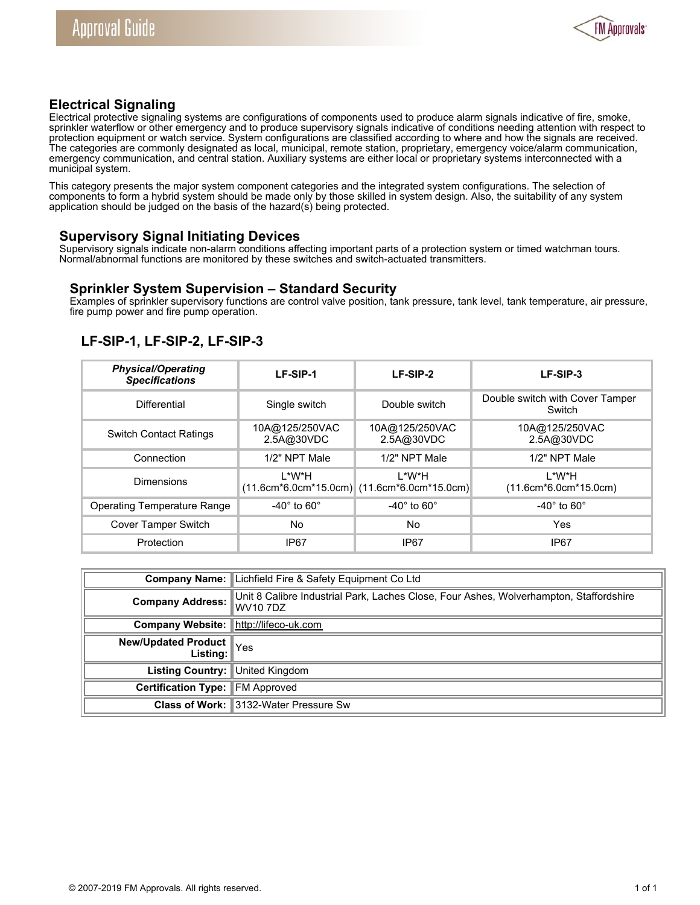

## **Electrical Signaling**

Electrical protective signaling systems are configurations of components used to produce alarm signals indicative of fire, smoke, sprinkler waterflow or other emergency and to produce supervisory signals indicative of conditions needing attention with respect to protection equipment or watch service. System configurations are classified according to where and how the signals are received. The categories are commonly designated as local, municipal, remote station, proprietary, emergency voice/alarm communication, emergency communication, and central station. Auxiliary systems are either local or proprietary systems interconnected with a municipal system.

This category presents the major system component categories and the integrated system configurations. The selection of components to form a hybrid system should be made only by those skilled in system design. Also, the suitability of any system application should be judged on the basis of the hazard(s) being protected.

### **Supervisory Signal Initiating Devices**

Supervisory signals indicate non-alarm conditions affecting important parts of a protection system or timed watchman tours. Normal/abnormal functions are monitored by these switches and switch-actuated transmitters.

#### **Sprinkler System Supervision – Standard Security**

Examples of sprinkler supervisory functions are control valve position, tank pressure, tank level, tank temperature, air pressure, fire pump power and fire pump operation.

# **LF-SIP-1, LF-SIP-2, LF-SIP-3**

| <b>Physical/Operating</b><br><b>Specifications</b> | LF-SIP-1                     | LF-SIP-2                                                  | LF-SIP-3                                  |
|----------------------------------------------------|------------------------------|-----------------------------------------------------------|-------------------------------------------|
| Differential                                       | Single switch                | Double switch                                             | Double switch with Cover Tamper<br>Switch |
| <b>Switch Contact Ratings</b>                      | 10A@125/250VAC<br>2.5A@30VDC | 10A@125/250VAC<br>2.5A@30VDC                              | 10A@125/250VAC<br>2.5A@30VDC              |
| Connection                                         | 1/2" NPT Male                | 1/2" NPT Male                                             | 1/2" NPT Male                             |
| Dimensions                                         | I *W*H                       | I *W*H<br>$(11.6cm*6.0cm*15.0cm)$ $(11.6cm*6.0cm*15.0cm)$ | I *W*H<br>$(11.6cm*6.0cm*15.0cm)$         |
| <b>Operating Temperature Range</b>                 | $-40^\circ$ to 60 $^\circ$   | -40 $^{\circ}$ to 60 $^{\circ}$                           | -40 $^{\circ}$ to 60 $^{\circ}$           |
| <b>Cover Tamper Switch</b>                         | No                           | No                                                        | Yes                                       |
| Protection                                         | IP <sub>67</sub>             | IP67                                                      | IP <sub>67</sub>                          |

|                                                    | <b>Company Name: Lichfield Fire &amp; Safety Equipment Co Ltd</b>                                       |  |
|----------------------------------------------------|---------------------------------------------------------------------------------------------------------|--|
|                                                    | Company Address: Unit 8 Calibre Industrial Park, Laches Close, Four Ashes, Wolverhampton, Staffordshire |  |
| Company Website:  http://lifeco-uk.com             |                                                                                                         |  |
| <b>New/Updated Product</b> $\bigg\Vert \text{Yes}$ |                                                                                                         |  |
| Listing Country: United Kingdom                    |                                                                                                         |  |
| Certification Type: FM Approved                    |                                                                                                         |  |
|                                                    | <b>Class of Work: 3132-Water Pressure Sw</b>                                                            |  |